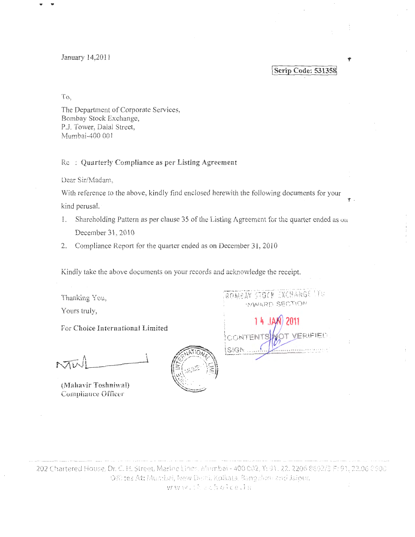January 14,2011

Scrip Code: 531358

To,

The Department of Corporate Services, Bombay Stock Exchange, P.J. Tower, Dalal Street, Mumbai-400 001

Re: Quarterly Compliance as per Listing Agreement

Dear Sir/Madam,

With reference to the above, kindly find enclosed herewith the following documents for your kind perusal.

- Shareholding Pattern as per clause 35 of the Listing Agreement for the quarter ended as on 1. December 31, 2010
- 2. Compliance Report for the quarter ended as on December 31, 2010

Kindly take the above documents on your records and acknowledge the receipt.

Thanking You, Yours truly,

For Choice International Limited

(Mahavir Toshniwal) Compliance Officer



ROMEAV STOCK EXCHANGE LES INNARD SECTION

ERIFIED **CONTENTS** SIGN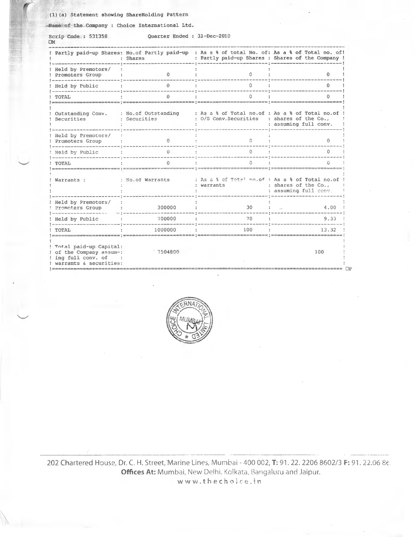## (1) (a) Statement showing ShareHolding Pattern

-Name of the Company : Choice International Ltd.

Scrip Code\_: 531358.<br>□M

 $\overline{\phantom{a}}$ 

 $\overline{\phantom{a}}$ 

**Quarte r Ended : 3i-Dec-2010** 

|                                                                                                         | : Shares                            |                                                                                                | ! Partly paid-up Shares: No.of Partly paid-up : As a % of total No. of: As a % of Total no. of!<br>: Partly paid-up Shares : Shares of the Company ! |
|---------------------------------------------------------------------------------------------------------|-------------------------------------|------------------------------------------------------------------------------------------------|------------------------------------------------------------------------------------------------------------------------------------------------------|
| ! Held by Premotors/<br>Promoters Group                                                                 | 0                                   | 0                                                                                              | 0                                                                                                                                                    |
| Held by Public                                                                                          | $\Omega$                            | 0                                                                                              | 0                                                                                                                                                    |
| TOTAL                                                                                                   |                                     |                                                                                                |                                                                                                                                                      |
| Outstanding Conv.<br>Securities                                                                         | : No.of Outstanding<br>: Securities | : As a & of Total no.of : As a & of Total no.of<br>: 0/S Conv. Securities : shares of the Co., | : assuming full conv.                                                                                                                                |
| Held by Premotors/<br>Promoters Group                                                                   | 0                                   | 0                                                                                              | 0                                                                                                                                                    |
| Held by Public                                                                                          | $\theta$                            | 0                                                                                              | 0                                                                                                                                                    |
| TOTAL                                                                                                   | G                                   | Ω                                                                                              |                                                                                                                                                      |
| Warrants :                                                                                              | : No.of Warrants                    | : As a & of Total no. of : As a & of Total no. of !<br>; warrants                              | : shares of the Co.,<br>: assuming full conv.                                                                                                        |
| ! Held by Premotors/<br>Promoters Group                                                                 | 300000                              | 30                                                                                             | 4.00                                                                                                                                                 |
| Held by Public                                                                                          | 700000                              | 70                                                                                             | 9.33                                                                                                                                                 |
| TOTAL                                                                                                   | 1000000                             | 100                                                                                            | 13.32                                                                                                                                                |
| ! Total paid-up Capital:<br>! of the Company assum-:<br>! ing full conv. of<br>! warrants & securities: | =================<br>7504800        |                                                                                                | 100                                                                                                                                                  |



============================================================================================== OP

202 Chartered House, Dr. C. H. Street, Marine Lines, Mumbai - 400 002, T: 91. 22. 2206 8602/3 F: 91. 22.06 86. Offices At: Mumbai, New Delhi. Kolkata, Bangaluru and Jaipur.  $w \le w \cdot t$  *hechoice.in*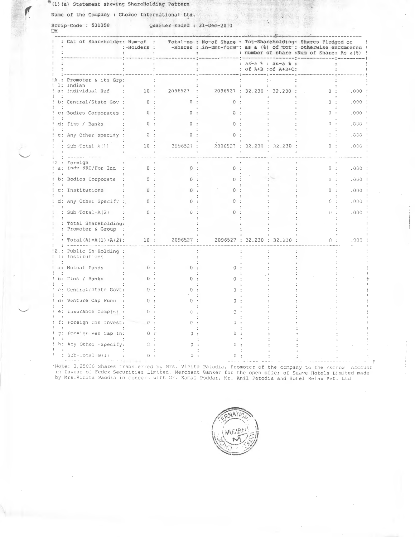(1) (a) Statement showing ShareHolding Pattern

 $\sqrt{2}$ 

Name of the Company : Choice International Ltd.

Scrip Code: 531358 Quarter-Ended : 31-Dec-2010

|  |                                             | : Cat of Shareholder: Num-of :<br>:-Holders : |              |        |                   |                             | Total-no : No-of Share : Tot-Shareholding: Shares Pledged or<br>-Shares : in-Dmt-form : as a (%) of tot : otherwise encumbered !<br>: number of share : Num of Share: As a(%) ! |       |  |
|--|---------------------------------------------|-----------------------------------------------|--------------|--------|-------------------|-----------------------------|---------------------------------------------------------------------------------------------------------------------------------------------------------------------------------|-------|--|
|  |                                             |                                               |              |        | : as-a % : as-a % | : of A+B : of A+B+C:        |                                                                                                                                                                                 |       |  |
|  | Promoter & its Grp:<br>1: Indian            |                                               |              |        |                   |                             |                                                                                                                                                                                 |       |  |
|  | a: Individual Huf                           | 10:                                           | 2096527      |        |                   | 2096527 : 32.230 : 32.230 : | 0:                                                                                                                                                                              | .000  |  |
|  | b: Central/State Gov :                      | 0:                                            | ∩ –          | $\cap$ |                   |                             | 0:                                                                                                                                                                              | .000  |  |
|  | c: Bodies Corporates :                      | 0:                                            | $^{\circ}$   |        |                   |                             | Ű.                                                                                                                                                                              | .000  |  |
|  | d: Fins / Banks                             | 0:                                            | 0            |        |                   |                             | 0 :                                                                                                                                                                             | .000  |  |
|  | e: Any Other specify :                      | 0:                                            | <sup>0</sup> |        |                   |                             |                                                                                                                                                                                 | 000.  |  |
|  | : $Sub-Total A(1)$                          | 10:                                           | 2096527 :    |        |                   | 2096527 : 32.230 : 32.230 : | 0:                                                                                                                                                                              | .000  |  |
|  | : Eoreign<br>a: Indv NRI/For Ind :          | 0:                                            | 0:           | O.     |                   |                             | 0:                                                                                                                                                                              | .000  |  |
|  | b: Bodies Corporate                         | 0:                                            |              |        |                   |                             | $f$ } $\rightarrow$                                                                                                                                                             | . 000 |  |
|  | c: Institutions                             | 0:                                            |              |        |                   |                             | 0:                                                                                                                                                                              | .000  |  |
|  | d: Any Other Specify :.                     | 0:                                            |              |        |                   |                             | Ü                                                                                                                                                                               | .000  |  |
|  | : Sub-Total-A $(2)$                         | 0                                             |              |        |                   |                             | $\left  \cdot \right $                                                                                                                                                          | .000  |  |
|  | : Total Shareholding:<br>: Promoter & Group |                                               |              |        |                   |                             |                                                                                                                                                                                 |       |  |
|  | Total $(A) = A(1) + A(2)$ :                 | 10:                                           | 2096527 :    |        |                   | 2096527 : 32.230 : 32.230 : | 0:                                                                                                                                                                              | .000  |  |
|  | Public Sh-Holding :<br>1: Institutions      |                                               |              |        |                   |                             |                                                                                                                                                                                 |       |  |
|  | a: Mutual Funds                             | $\Omega$ .                                    | $\Omega$     |        |                   |                             |                                                                                                                                                                                 |       |  |
|  | b: Tins / Banks                             | 0:                                            |              |        |                   |                             |                                                                                                                                                                                 |       |  |
|  | c: Central/State Govt:                      | 0:                                            | n            |        |                   |                             |                                                                                                                                                                                 |       |  |
|  | d: Venture Cap Fund                         | 0:                                            |              |        |                   |                             |                                                                                                                                                                                 |       |  |
|  | e: Insurance Comp(s)                        | $0 -$                                         |              |        |                   |                             |                                                                                                                                                                                 |       |  |
|  | f: Foreign Ins Invest:                      | $\Omega$                                      |              |        |                   |                             |                                                                                                                                                                                 |       |  |
|  | g: Foreign Ven Cap In:                      | 0:                                            |              |        |                   |                             |                                                                                                                                                                                 |       |  |
|  | h: Any Other -Specify:                      | 0.                                            |              |        |                   |                             |                                                                                                                                                                                 |       |  |
|  | : $Sub-Total B(1)$                          | 0:                                            |              |        |                   |                             |                                                                                                                                                                                 |       |  |
|  |                                             |                                               |              |        |                   |                             |                                                                                                                                                                                 |       |  |

Note: 3,25000 Shares transferred by Mrs. Vinita Patodia, Promoter of the company to the Escrow Account.<br>In favour of Fedex Securities Limited, Merchant Banker for the open offer of Suave Hotels Limited made<br>by Mrs.Vinita P



P.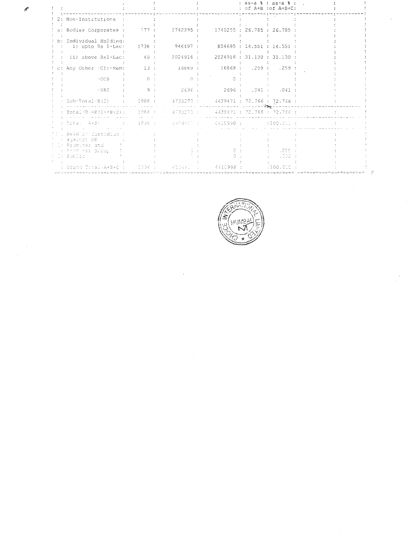|                                                                                         |        |                             |                                    | : as-a % : as-a % :<br>: of A+B : of A+B+C: |  |  |
|-----------------------------------------------------------------------------------------|--------|-----------------------------|------------------------------------|---------------------------------------------|--|--|
| 2: Non-Institutions :                                                                   |        |                             |                                    |                                             |  |  |
| a: Bodies Corporates :                                                                  | 177 :  | 1742295:                    | 1740295 : 26.785 : 26.785          |                                             |  |  |
| b: Individual Holding:<br>i) upto Rs 1-Lac:                                             | 1738 : | 946497:                     | 854695 : 14.551 : 14.551           |                                             |  |  |
| ii) above Rs1-Lac: 49:                                                                  |        | 2024916 :                   |                                    | 2024916: 31.130: 31.130:                    |  |  |
| c: Any Other -Clr-Mem:                                                                  | 13 :   | 16869:                      | 16869:259:259:                     |                                             |  |  |
| $-OCB$                                                                                  | $\cap$ | $\cap$                      |                                    |                                             |  |  |
| $\neg$ NRT                                                                              | 9:     | 2696:                       |                                    | 2696:041:041                                |  |  |
| Sub-Total-B(2) : 1986 : 4733273 : 4639471 : 72.766 : 72.766 :                           |        |                             |                                    |                                             |  |  |
|                                                                                         |        |                             |                                    |                                             |  |  |
| : Total A≠B) -                                                                          |        |                             | 1998 : 500 BSANDOS : 500 CA10998 : | : 109.011 :                                 |  |  |
| . Held by Custodium :<br>: against DR<br>I: Promiter and<br>: Fronter Group<br>t Public |        |                             |                                    | .000<br>.000                                |  |  |
| : Grand Total A+B+C : 1996 :                                                            |        | <b>AND ACCABLE TO BE AN</b> | - 6410998 :                        | :100.05C:                                   |  |  |



 $\epsilon$ 

 $\epsilon$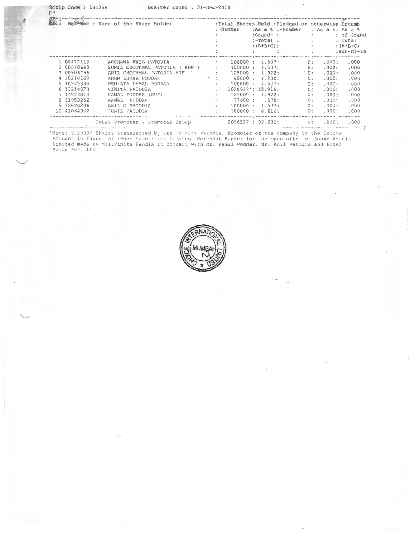| <b>POWER</b><br>Ret <sup>an</sup> um : Name of the Share Holder |             |                                  | :-Number          |              |                      | $:Grand-$ : | :As a % :-Number | :Total Shares Held : Pledged or otherwise Encumb<br>: As $a$ $\frac{6}{3}$ : As $a$ $\frac{6}{3}$ |                 |                                             |
|-----------------------------------------------------------------|-------------|----------------------------------|-------------------|--------------|----------------------|-------------|------------------|---------------------------------------------------------------------------------------------------|-----------------|---------------------------------------------|
|                                                                 |             |                                  |                   |              |                      |             |                  | $:$ -Total :                                                                                      | $1 - 1 - 1 = 1$ | : of Grand<br>: Total                       |
|                                                                 |             |                                  |                   |              |                      |             |                  | $:(A+B+C):$                                                                                       |                 |                                             |
|                                                                 |             |                                  |                   |              |                      |             |                  |                                                                                                   |                 | $:(A+B+C)$                                  |
|                                                                 |             |                                  |                   |              |                      |             |                  |                                                                                                   |                 | $:sub-cl-Ia$                                |
|                                                                 | 1 00472116  | ARCHANA ANIL PATODIA             |                   | $\sim$       | 100000 : 1.537:      |             |                  | $\theta$ :                                                                                        | .000:           | im t me me nevenire t veren me me m<br>.000 |
|                                                                 | 2 00578668  | SUNIL CHOTHMAL PATODIA ( HUF )   |                   |              | 100000:              |             | 1.537:           | 0:                                                                                                | .000:           | .000                                        |
|                                                                 | 3 00906296  | ANIL CHOTHMAL PATODIA HUF        | <b>Contractor</b> |              | 125000:              |             | 1.922:           | $^{\circ}$ 0 :                                                                                    | .000:           | .000                                        |
|                                                                 | 4 10218368  | ARUN KUMAR PODDAR                |                   |              | 80000:               |             | 1.230:           | 0:                                                                                                | .000:           | .000                                        |
|                                                                 | 5 10379348  | HEMLATA KAMAL PODDAR             |                   |              | 100000:              |             | 1.537:           | 0:                                                                                                | .000:           | .000                                        |
|                                                                 | 6 13214073  | VINITA PATODIA                   |                   |              | $1028927$ *: 15.818: |             |                  | 0:                                                                                                | .000:           | .000                                        |
|                                                                 | 7 14929813  | KAMAL PODDAR (HUF)               |                   |              | 125000:              |             | 1.922:           | 0:                                                                                                | .000:           | .000                                        |
|                                                                 | 8 31953252  | KAMAL<br>PODDAR                  |                   |              |                      |             | 37600 : .578:    | 0:                                                                                                | .000:           | .000                                        |
|                                                                 | 9 32670246  | ANIL C PATODIA                   |                   |              | 100000:              |             | 1.537:           | 0:                                                                                                | .000:           | .000                                        |
|                                                                 | 10 41064362 | SUNIL PATODIA                    |                   | $\sim$       | 300000:              |             | 4.612:           | 0:                                                                                                | .000:           | .000                                        |
|                                                                 |             |                                  |                   |              |                      |             |                  |                                                                                                   |                 |                                             |
|                                                                 |             | -Total Promoter & Promoter Group |                   | $\mathbb{R}$ | 2096527 : 32.230:    |             |                  | 0:                                                                                                | .000:           | .000.                                       |

\*Note: 3,25000 Shares transferred by Mrs. Vinita Patodia, Promoter of the company to the Escrow<br>Account in favour of Fedex Securities Limited, Merchant Banker for the open offer of Suave Hotels<br>Limited made by Mrs.Vinita P

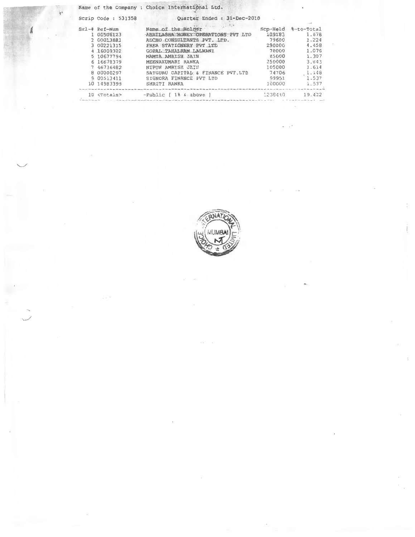|           | Scrip Code: 531358   | Quarter Ended : 31-Dec-2010                              |         |                              |
|-----------|----------------------|----------------------------------------------------------|---------|------------------------------|
| $Sr1 - 4$ | Ref-Num<br>00506123  | Name of the Holder<br>ABHILASHA MONEY OPERATIONS PVT LTD | 109183  | Scp-Held %-to-Total<br>1.678 |
|           | 2 00013881           | ADCHO CONSULTANTS PVT. LTD.                              | 79600   | 1.224                        |
|           | 3 00221315           | FREA STATIONERY PVT LTD                                  | 290000  | 4.458                        |
|           | 4 16009302           | GOPAL TAHALRAM LALWANI                                   | 70000   | 1.076                        |
|           | 5 10677794           | MAMTA AMRISH JAIN                                        | 85000   | 1.307                        |
|           | 6 16678379           | MEENAKUMARI RANKA                                        | 250000  | 3.843                        |
|           | 7 46736482           | NIPUN AMRISH JAIN                                        | 105000  | 1.614                        |
|           | 8 00000297           | SATGURU CAPITAL & FINANCE PVT.LTD                        | 74706   | 1.148                        |
|           | 9 00513411           | SIGNORA FINANCE PVT LTD                                  | 99951   | 1.537                        |
|           | 10 14983399          | SMRITI RANKA                                             | 100000  | 1.537                        |
|           | 10 <totals></totals> | $-Public$ $1%$ $6 above$ }                               | 1238440 | 19.422                       |
|           |                      |                                                          |         |                              |

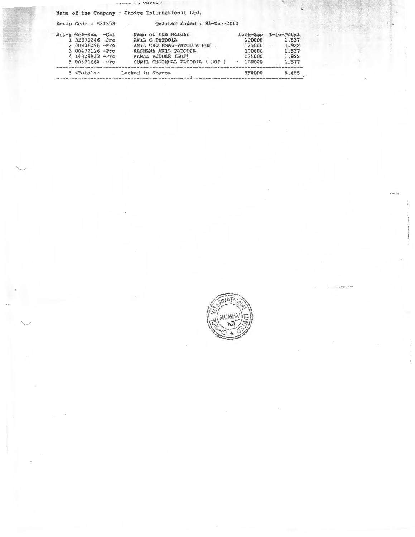sames an onargo

Name of the Company : Choice International Ltd. Quarter Ended : 31-Dec-2010 Scrip Code: 531358 Lock-Scp 8-to-Total 100000 1.537 125000 1.922 100000 1.537 125000 1.922  $. 100000$ 1.537 5 <Totals> Locked in Shares 550000 8.455

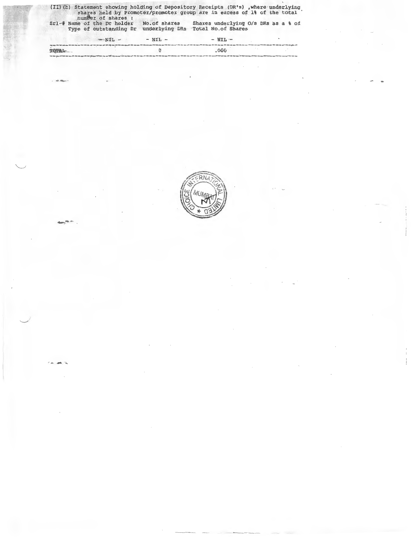| (II) (b) Statement showing holding of Depository Receipts (DR's), where underlying<br>number of shares : |              | shares held by Promoter/promoter group are in excess of 1% of the total   |  |
|----------------------------------------------------------------------------------------------------------|--------------|---------------------------------------------------------------------------|--|
| Srl-# Name of the Dr holder<br>Type of outstanding Dr                                                    | No.of shares | Shares underlying O/s DRs as a % of<br>underlying DRs Total No. of Shares |  |
| $NFL - NFL$                                                                                              | $- NIL -$    | $-$ NIL $-$                                                               |  |
| TOPAL.                                                                                                   |              | .000                                                                      |  |

 $\smile$ 

 $. . . . . .$ 

*J* 

 $\sim$   $\sim$   $\sim$   $\sim$   $\sim$ <sup>~</sup>**•** .,.... '(\ )'.j ~~  $\frac{1}{2}$  $\sqrt{2\pi}$  $\|\ddot{\sim}\!\!\!\!\perp\!\!\!\!\perp\!\!\!\!\perp\!\!\!\!\perp\!\!\!\!\perp\!\!\!\!\perp\!\!\!\!\perp\!\!\!\!\perp\!\!\!\!\perp\!\!\!\!\perp\!\!\!\!\perp\!\!\!\!\perp\!\!\!\!\perp\!\!\!\!\perp\!\!\!\!\perp\!\!\!\!\perp\!\!\!\!\perp\!\!\!\!\perp\!\!\!\!\perp\!\!\!\!\perp\!\!\!\!\perp\!\!\!\!\perp\!\!\!\!\perp\!\!\!\!\perp\!\!\!\!\perp\!\!\!\!\perp\!\!\!\!\perp\!\!\!\!\perp\!\!\!\!\perp\!\!\!\!\perp\!\!\!\$  $\mathbb{R}$  is a set of  $\mathbb{R}$ <sup>~</sup>  $\sim$